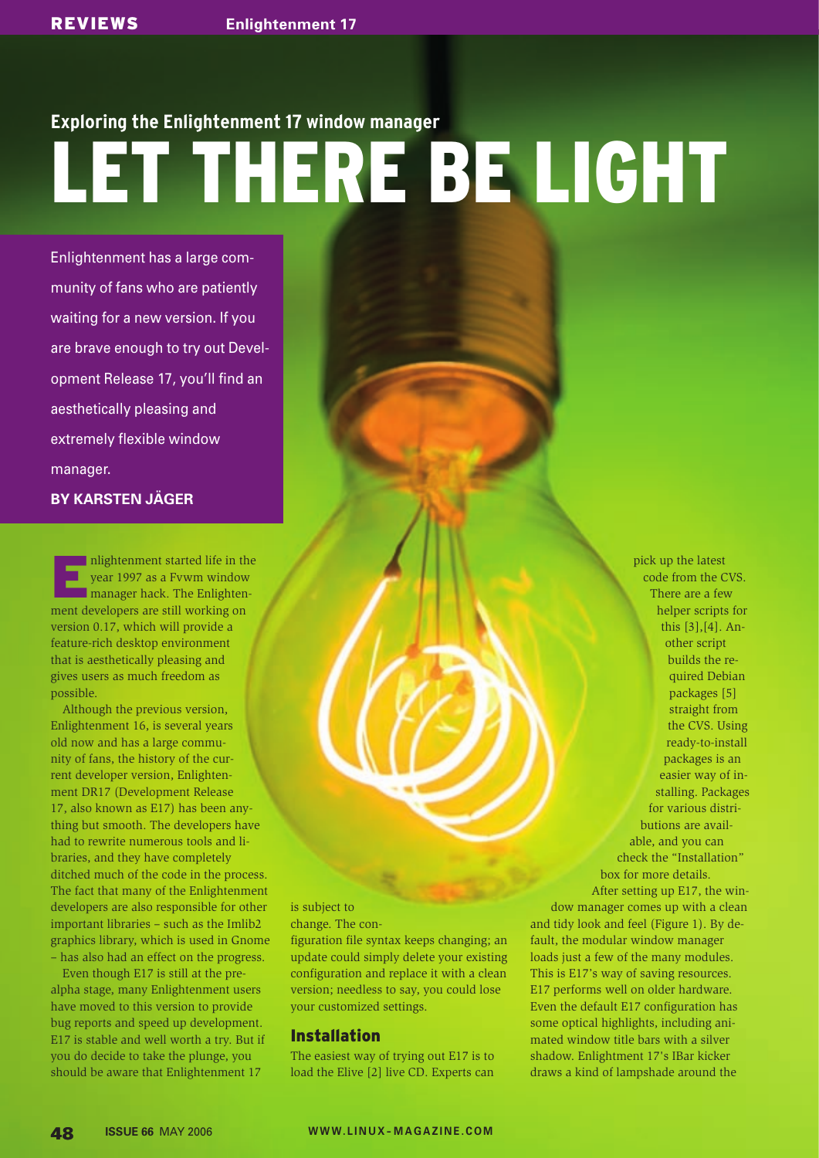# **Exploring the Enlightenment 17 window manager** LET THERE BE LIGHT

Enlightenment has a large community of fans who are patiently waiting for a new version. If you are brave enough to try out Development Release 17, you'll find an aesthetically pleasing and extremely flexible window manager.

**BY KARSTEN JÄGER**

mlightenment started life in the year 1997 as a Fvwm window<br>
manager hack. The Enlightenyear 1997 as a Fvwm window ment developers are still working on version 0.17, which will provide a feature-rich desktop environment that is aesthetically pleasing and gives users as much freedom as possible.

Although the previous version, Enlightenment 16, is several years old now and has a large community of fans, the history of the current developer version, Enlightenment DR17 (Development Release 17, also known as E17) has been anything but smooth. The developers have had to rewrite numerous tools and libraries, and they have completely ditched much of the code in the process. The fact that many of the Enlightenment developers are also responsible for other important libraries – such as the Imlib2 graphics library, which is used in Gnome – has also had an effect on the progress.

Even though E17 is still at the prealpha stage, many Enlightenment users have moved to this version to provide bug reports and speed up development. E17 is stable and well worth a try. But if you do decide to take the plunge, you should be aware that Enlightenment 17

## is subject to

change. The con-

figuration file syntax keeps changing; an update could simply delete your existing configuration and replace it with a clean version; needless to say, you could lose your customized settings.

# Installation

The easiest way of trying out E17 is to load the Elive [2] live CD. Experts can

pick up the latest code from the CVS. There are a few helper scripts for this [3],[4]. Another script builds the required Debian packages [5] straight from the CVS. Using ready-to-install packages is an easier way of installing. Packages for various distributions are available, and you can check the "Installation" box for more details. After setting up E17, the win-

dow manager comes up with a clean and tidy look and feel (Figure 1). By default, the modular window manager loads just a few of the many modules. This is E17's way of saving resources. E17 performs well on older hardware. Even the default E17 configuration has some optical highlights, including animated window title bars with a silver shadow. Enlightment 17's IBar kicker draws a kind of lampshade around the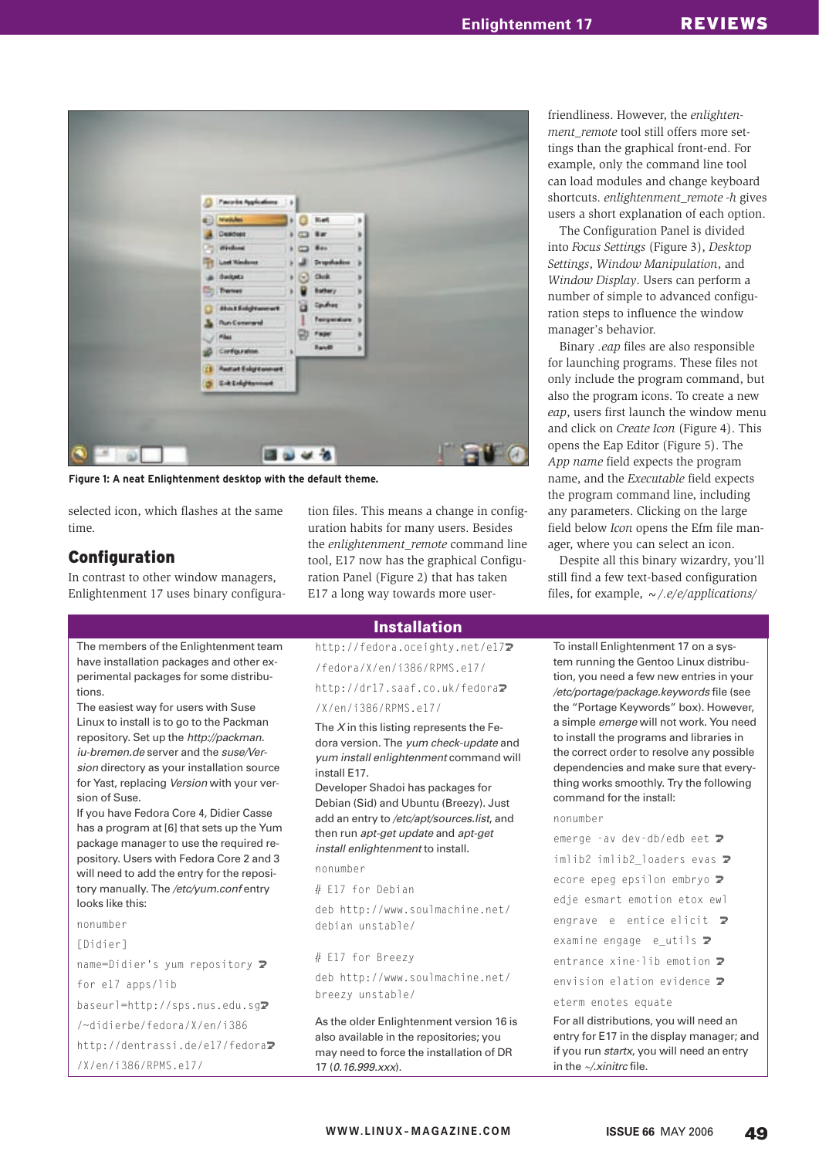| <b><i><u>Party in Applications</u></i></b> | DB) |                  |                    |   |  |  |
|--------------------------------------------|-----|------------------|--------------------|---|--|--|
| (E) Weilder                                |     | $\bullet$ $\Box$ | <b>Bief</b>        | ۶ |  |  |
| Descuer                                    |     | $\sqrt{2}$       | $x =$              | ٠ |  |  |
| divisions                                  | ٠   |                  | 841                | ٠ |  |  |
| Lost Kinderes                              |     |                  | Dropphadow         | × |  |  |
| the down.                                  |     | $ p $ $ p $      | <b>Clock</b>       | × |  |  |
| 9<br>Tremet                                |     |                  | <b>Battery</b>     | × |  |  |
| <b><i>About Enlight sourcert</i></b>       |     | a                | Spidnes            | × |  |  |
| <b><i><u>Pun Commercial</u></i></b>        |     |                  | <b>Temperature</b> | ъ |  |  |
| <b>Pilet</b>                               |     | 멍                | Fager              | ٠ |  |  |
| Cirréguration                              |     | ٠                | <b>Randit</b>      | × |  |  |
| <b>Restalt Enlightenment</b><br>is.        |     |                  |                    |   |  |  |
| <b>Grit Enlights www.</b><br>a,            |     |                  |                    |   |  |  |

**Figure 1: A neat Enlightenment desktop with the default theme.**

selected icon, which flashes at the same time.

## Configuration

In contrast to other window managers, Enlightenment 17 uses binary configuration files. This means a change in configuration habits for many users. Besides the *enlightenment\_remote* command line tool, E17 now has the graphical Configuration Panel (Figure 2) that has taken E17 a long way towards more user-

### Installation

http://fedora.oceighty.net/e172

/fedora/X/en/i386/RPMS.e17/

http://dr17.saaf.co.uk/fedora<sub>2</sub>

/X/en/i386/RPMS.e17/

The  $X$  in this listing represents the Fedora version. The yum check-update and yum install enlightenment command will install E17.

Developer Shadoi has packages for Debian (Sid) and Ubuntu (Breezy). Just add an entry to /etc/apt/sources.list, and then run apt-get update and apt-get install enlightenment to install.

nonumber

# E17 for Debian

deb http://www.soulmachine.net/ debian unstable/

# E17 for Breezy

deb http://www.soulmachine.net/ breezy unstable/

As the older Enlightenment version 16 is also available in the repositories; you may need to force the installation of DR 17 (0.16.999.xxx).

friendliness. However, the *enlightenment\_remote* tool still offers more settings than the graphical front-end. For example, only the command line tool can load modules and change keyboard shortcuts. *enlightenment\_remote -h* gives users a short explanation of each option.

The Configuration Panel is divided into *Focus Settings* (Figure 3), *Desktop Settings*, *Window Manipulation*, and *Window Display*. Users can perform a number of simple to advanced configuration steps to influence the window manager's behavior.

Binary *.eap* files are also responsible for launching programs. These files not only include the program command, but also the program icons. To create a new *eap*, users first launch the window menu and click on *Create Icon* (Figure 4). This opens the Eap Editor (Figure 5). The *App name* field expects the program name, and the *Executable* field expects the program command line, including any parameters. Clicking on the large field below *Icon* opens the Efm file manager, where you can select an icon.

Despite all this binary wizardry, you'll still find a few text-based configuration files, for example, *~/.e/e/applications/*

To install Enlightenment 17 on a system running the Gentoo Linux distribution, you need a few new entries in your /etc/portage/package.keywords file (see the "Portage Keywords" box). However, a simple emerge will not work. You need to install the programs and libraries in the correct order to resolve any possible dependencies and make sure that everything works smoothly. Try the following command for the install:

#### nonumber

emerge -av dev-db/edb eet  $\overline{z}$  $imlib2$   $imlib2$   $localers$  evas  $\blacktriangleright$ ecore epeg epsilon embryo  $\mathbf{z}$ edje esmart emotion etox ewl engrave e entice elicit  $\overline{z}$ examine engage e\_utils  $\mathbf{z}$ entrance xine-lib emotion  $\mathbf{z}$ 

envision elation evidence  $\overline{z}$ 

eterm enotes equate

For all distributions, you will need an entry for E17 in the display manager; and if you run startx, you will need an entry in the  $\sim$ /*xinitrc* file.

The members of the Enlightenment team have installation packages and other experimental packages for some distributions.

The easiest way for users with Suse Linux to install is to go to the Packman repository. Set up the http://packman. iu-bremen. de server and the suse/Version directory as your installation source for Yast, replacing Version with your version of Suse.

If you have Fedora Core 4, Didier Casse has a program at [6] that sets up the Yum package manager to use the required repository. Users with Fedora Core 2 and 3 will need to add the entry for the repository manually. The /etc/yum.conf entry looks like this:

nonumber

[Didier]

name=Didier's yum repository  $\triangleright$ 

for e17 apps/lib

baseurl=http://sps.nus.edu.sg2

/~didierbe/fedora/X/en/i386

http://dentrassi.de/e17/fedora2

/X/en/i386/RPMS.e17/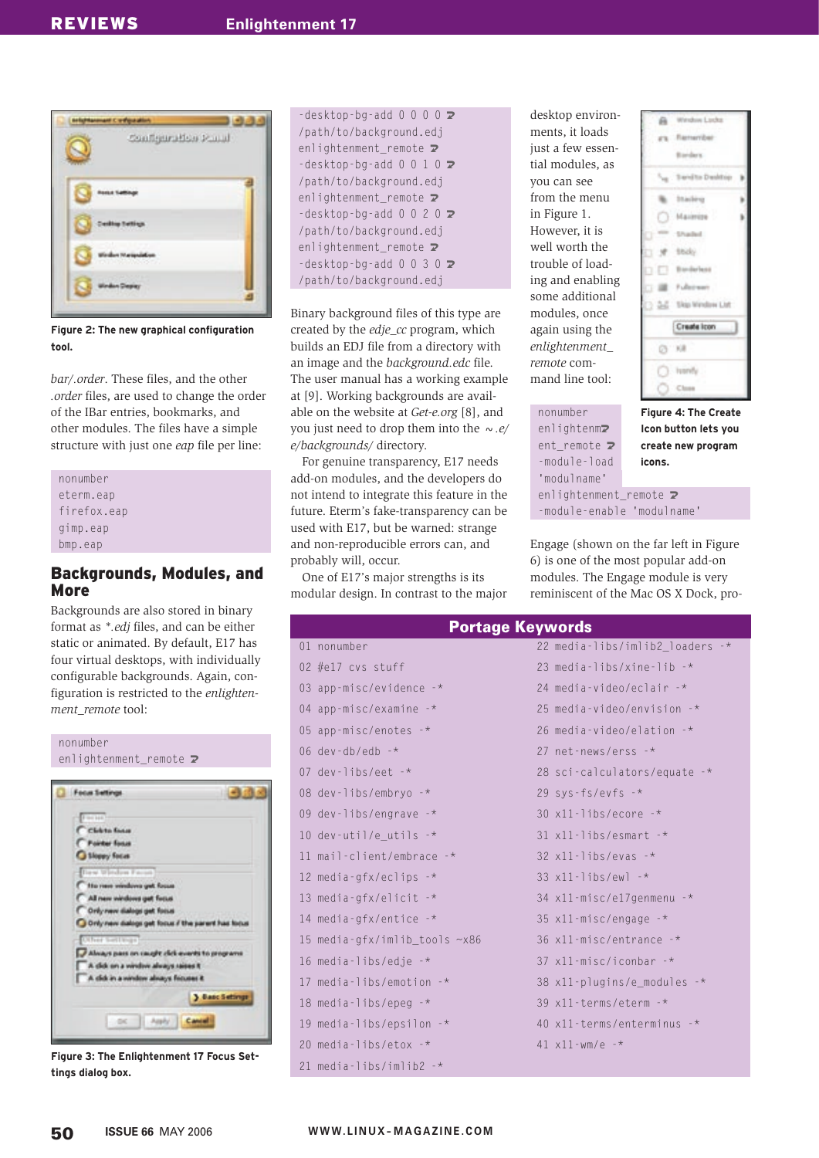

**Figure 2: The new graphical configuration tool.**

*bar/.order*. These files, and the other *.order* files, are used to change the order of the IBar entries, bookmarks, and other modules. The files have a simple structure with just one *eap* file per line:

nonumber eterm ean firefox.eap gimp.eap bmp.eap

## Backgrounds, Modules, and More

Backgrounds are also stored in binary format as *\*.edj* files, and can be either static or animated. By default, E17 has four virtual desktops, with individually configurable backgrounds. Again, configuration is restricted to the *enlightenment\_remote* tool:



**Figure 3: The Enlightenment 17 Focus Settings dialog box.**

 $-$ desktop-bg-add 0 0 0 0  $\overline{z}$ /path/to/background.edj enlightenment\_remote  $\triangleright$  $-$ desktop-bg-add 0 0 1 0  $\overline{2}$ /path/to/background.edj enlightenment\_remote 2  $-$ desktop-bg-add 0 0 2 0  $\overline{2}$ /path/to/background.edj enlightenment remote  $\overline{z}$  $-$ desktop-bg-add 0 0 3 0  $\blacktriangleright$ /path/to/background.edj

Binary background files of this type are created by the *edje\_cc* program, which builds an EDJ file from a directory with an image and the *background.edc* file. The user manual has a working example at [9]. Working backgrounds are available on the website at *Get-e. org* [8], and you just need to drop them into the *~.e/ e/backgrounds/* directory.

For genuine transparency, E17 needs add-on modules, and the developers do not intend to integrate this feature in the future. Eterm's fake-transparency can be used with E17, but be warned: strange and non-reproducible errors can, and probably will, occur.

One of E17's major strengths is its modular design. In contrast to the major

01

desktop environments, it loads just a few essential modules, as you can see from the menu in Figure 1. However, it is well worth the trouble of loading and enabling some additional modules, once again using the *enlightenment\_ remote* command line tool:

nonumber enlightenm<sub>2</sub> ent remote  $\overline{z}$ -module-load 'modulname' enlightenment remote  $\overline{z}$ 

Weston Locks iii. Rameribar Barders **Senito Dealtier** Inadérie Mazinine **Charles** tiolo Businelast **SE Fullerway** 2-2 Skip Window Ltd. Create Icon @ xa C) lumb Close

**Figure 4: The Create Icon button lets you create new program icons.**

-module-enable 'modulname'

Engage (shown on the far left in Figure 6) is one of the most popular add-on modules. The Engage module is very reminiscent of the Mac OS X Dock, pro-

# Portage Keywords

| <u>i vitugo koymoruo</u>      |                                    |
|-------------------------------|------------------------------------|
| 01 nonumber                   | 22 media-libs/imlib2_loaders -*    |
| 02 $#e17$ cvs stuff           | 23 media-libs/xine-lib $-*$        |
| 03 app-misc/evidence $-*$     | 24 media-video/eclair -*           |
| 04 app-misc/examine $-*$      | 25 media-video/envision $-$ *      |
| 05 app-misc/enotes $-$ *      | 26 media-video/elation $-$ *       |
| 06 dev-db/edb $-$ *           | 27 net-news/erss $-$ *             |
| 07 dev-libs/eet -*            | 28 sci-calculators/equate -*       |
| 08 dev-libs/embryo $-$ *      | 29 sys-fs/evfs $-$ *               |
| 09 dev-libs/engrave $-*$      | $30 \times 11$ -libs/ecore -*      |
| 10 dev-util/e_utils $-$ *     | $31$ x11-libs/esmart -*            |
| 11 mail-client/embrace $-$ *  | $32$ x11-libs/evas -*              |
| 12 media-gfx/eclips $-$ *     | $33 \times 11 - 11$ bs/ewl $-*$    |
| 13 media-gfx/elicit -*        | $34 \times 11$ -misc/el7genmenu -* |
| 14 media-gfx/entice $-*$      | 35 $x11 - misc/engage -*$          |
| 15 media-gfx/imlib_tools ~x86 | 36 x11-misc/entrance -*            |
| 16 media-libs/edje -*         | 37 $x11 - misc/iconbar -*$         |
| 17 media-libs/emotion -*      | 38 x11-plugins/e_modules -*        |
| 18 media-libs/epeg $-*$       | 39 $x11$ -terms/eterm -*           |
| 19 media-libs/epsilon $-$ *   | 40 x11-terms/enterminus -*         |
| 20 media-libs/etox $-$ *      | 41 $x11 - wm/e - x$                |
| 21 media-libs/imlib2 -*       |                                    |